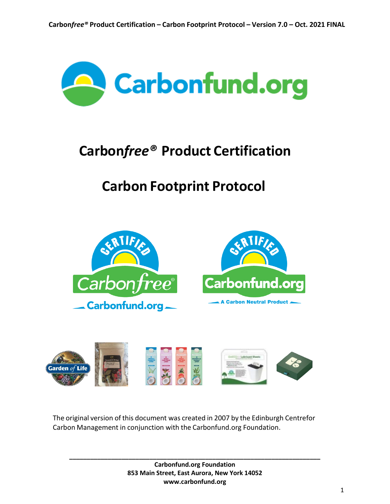

# **Carbon***free®* **Product Certification**

# **Carbon Footprint Protocol**





The original version of this document was created in 2007 by the Edinburgh Centrefor Carbon Management in conjunction with the Carbonfund.org Foundation.

> **Carbonfund.org Foundation 853 Main Street, East Aurora, New York 14052 www.carbonfund.org**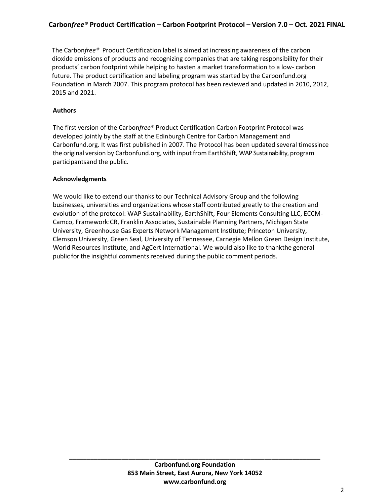The Carbon*free®* Product Certification label is aimed at increasing awareness of the carbon dioxide emissions of products and recognizing companies that are taking responsibility for their products' carbon footprint while helping to hasten a market transformation to a low- carbon future. The product certification and labeling program was started by the Carbonfund.org Foundation in March 2007. This program protocol has been reviewed and updated in 2010, 2012, 2015 and 2021.

## **Authors**

The first version of the Carbon*free®* Product Certification Carbon Footprint Protocol was developed jointly by the staff at the Edinburgh Centre for Carbon Management and Carbonfund.org. It was first published in 2007. The Protocol has been updated several timessince the original version by Carbonfund.org, with input from EarthShift, WAP Sustainability, program participantsand the public.

#### **Acknowledgments**

We would like to extend our thanks to our Technical Advisory Group and the following businesses, universities and organizations whose staff contributed greatly to the creation and evolution of the protocol: WAP Sustainability, EarthShift, Four Elements Consulting LLC, ECCM-Camco, Framework:CR, Franklin Associates, Sustainable Planning Partners, Michigan State University, Greenhouse Gas Experts Network Management Institute; Princeton University, Clemson University, Green Seal, University of Tennessee, Carnegie Mellon Green Design Institute, World Resources Institute, and AgCert International. We would also like to thankthe general public for the insightful comments received during the public comment periods.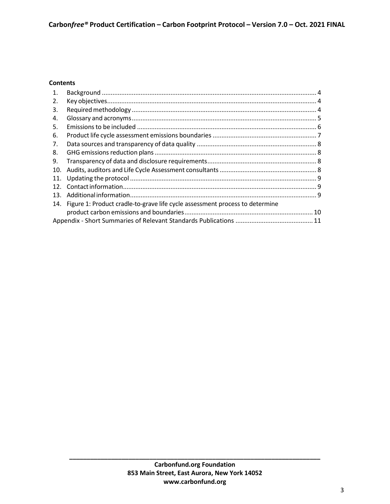## **Contents**

| 1.  |                                                                              |  |
|-----|------------------------------------------------------------------------------|--|
| 2.  |                                                                              |  |
| 3.  |                                                                              |  |
| 4.  |                                                                              |  |
| 5.  |                                                                              |  |
| 6.  |                                                                              |  |
| 7.  |                                                                              |  |
| 8.  |                                                                              |  |
| 9.  |                                                                              |  |
| 10. |                                                                              |  |
| 11. |                                                                              |  |
| 12. |                                                                              |  |
| 13. |                                                                              |  |
| 14. | Figure 1: Product cradle-to-grave life cycle assessment process to determine |  |
|     |                                                                              |  |
|     |                                                                              |  |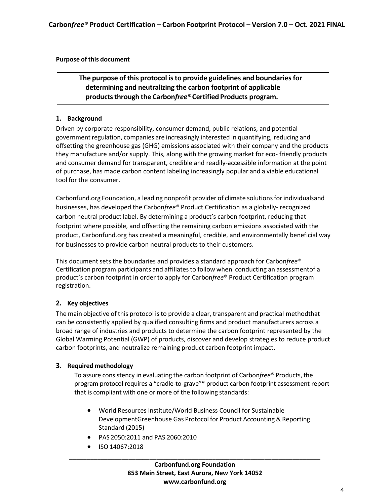## **Purpose of this document**

## **The purpose of this protocol isto provide guidelines and boundariesfor determining and neutralizing the carbon footprint of applicable productsthrough the Carbon***free®***Certified Products program.**

#### <span id="page-3-0"></span>**1. Background**

Driven by corporate responsibility, consumer demand, public relations, and potential government regulation, companies are increasingly interested in quantifying, reducing and offsetting the greenhouse gas (GHG) emissions associated with their company and the products they manufacture and/or supply. This, along with the growing market for eco- friendly products and consumer demand for transparent, credible and readily-accessible information at the point of purchase, has made carbon content labeling increasingly popular and a viable educational tool for the consumer.

Carbonfund.org Foundation, a leading nonprofit provider of climate solutionsforindividualsand businesses, has developed the Carbon*free®* Product Certification as a globally- recognized carbon neutral product label. By determining a product's carbon footprint, reducing that footprint where possible, and offsetting the remaining carbon emissions associated with the product, Carbonfund.org has created a meaningful, credible, and environmentally beneficial way for businesses to provide carbon neutral products to their customers.

This document sets the boundaries and provides a standard approach for Carbon*free®* Certification program participants and affiliates to follow when conducting an assessmentof a product's carbon footprint in order to apply for Carbon*free*® Product Certification program registration.

## <span id="page-3-1"></span>**2. Key objectives**

The main objective of this protocol is to provide a clear, transparent and practical methodthat can be consistently applied by qualified consulting firms and product manufacturers across a broad range of industries and products to determine the carbon footprint represented by the Global Warming Potential (GWP) of products, discover and develop strategies to reduce product carbon footprints, and neutralize remaining product carbon footprint impact.

## <span id="page-3-2"></span>**3. Required methodology**

To assure consistency in evaluating the carbon footprint of Carbon*free®* Products, the program protocol requires a "cradle-to-grave"\* product carbon footprint assessment report that is compliant with one or more of the following standards:

- World Resources Institute/World Business Council for Sustainable DevelopmentGreenhouse Gas Protocol for Product Accounting & Reporting Standard (2015)
- PAS 2050:2011 and PAS 2060:2010
- ISO 14067:2018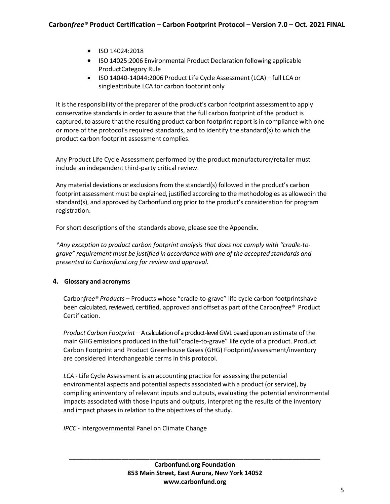- ISO 14024:2018
- ISO 14025:2006 Environmental Product Declaration following applicable ProductCategory Rule
- ISO 14040-14044:2006 Product Life Cycle Assessment (LCA) full LCA or singleattribute LCA for carbon footprint only

It is the responsibility of the preparer of the product's carbon footprint assessment to apply conservative standards in order to assure that the full carbon footprint of the product is captured, to assure that the resulting product carbon footprint report is in compliance with one or more of the protocol's required standards, and to identify the standard(s) to which the product carbon footprint assessment complies.

Any Product Life Cycle Assessment performed by the product manufacturer/retailer must include an independent third-party critical review.

Any material deviations or exclusions from the standard(s) followed in the product's carbon footprint assessment must be explained, justified according to the methodologies as allowedin the standard(s), and approved by Carbonfund.org prior to the product's consideration for program registration.

For short descriptions of the standards above, please see the Appendix.

*\*Any exception to product carbon footprint analysis that does not comply with "cradle-tograve" requirement must be justified in accordance with one of the accepted standards and presented to Carbonfund.org for review and approval.*

## <span id="page-4-0"></span>**4. Glossary and acronyms**

Carbon*free® Products* – Products whose "cradle-to-grave" life cycle carbon footprintshave been calculated, reviewed, certified, approved and offset as part of the Carbon*free®* Product Certification.

*Product Carbon Footprint* – A calculation of a product-level GWL based upon an estimate of the main GHG emissions produced in the full"cradle-to-grave" life cycle of a product. Product Carbon Footprint and Product Greenhouse Gases (GHG) Footprint/assessment/inventory are considered interchangeable terms in this protocol.

*LCA* - Life Cycle Assessment is an accounting practice for assessing the potential environmental aspects and potential aspects associated with a product (or service), by compiling aninventory of relevant inputs and outputs, evaluating the potential environmental impacts associated with those inputs and outputs, interpreting the results of the inventory and impact phases in relation to the objectives of the study.

*IPCC -* Intergovernmental Panel on Climate Change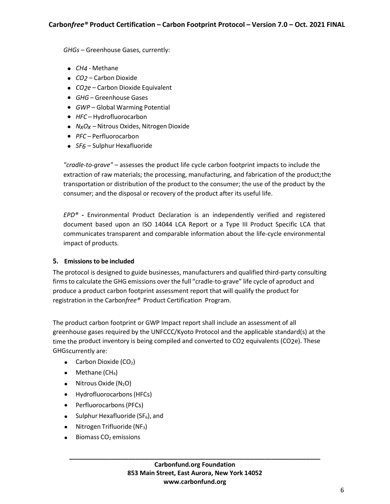*GHGs* – Greenhouse Gases, currently:

- *CH4* Methane
- *CO2* Carbon Dioxide
- *CO2e* Carbon Dioxide Equivalent
- *GHG* Greenhouse Gases
- *GWP –* Global Warming Potential
- *HFC* Hydrofluorocarbon
- *NxOx –* Nitrous Oxides, Nitrogen Dioxide
- *PFC* Perfluorocarbon
- *SF6* Sulphur Hexafluoride

*"cradle-to-grave" –* assesses the product life cycle carbon footprint impacts to include the extraction of raw materials; the processing, manufacturing, and fabrication of the product;the transportation or distribution of the product to the consumer; the use of the product by the consumer; and the disposal or recovery of the product after its useful life.

*EPD®* **-** Environmental Product Declaration is an independently verified and registered document based upon an ISO 14044 LCA Report or a Type III Product Specific LCA that communicates transparent and comparable information about the life-cycle environmental impact of products.

#### <span id="page-5-0"></span>**5. Emissions to be included**

The protocol is designed to guide businesses, manufacturers and qualified third-party consulting firmsto calculate the GHG emissions over the full "cradle-to-grave" life cycle of aproduct and produce a product carbon footprint assessment report that will qualify the product for registration in the Carbon*free®* Product Certification Program.

The product carbon footprint or GWP Impact report shall include an assessment of all greenhouse gases required by the UNFCCC/Kyoto Protocol and the applicable standard(s) at the time the product inventory is being compiled and converted to CO2 equivalents (CO2e). These GHGscurrently are:

- Carbon Dioxide  $(CO<sub>2</sub>)$
- $\bullet$  Methane (CH<sub>4</sub>)
- Nitrous Oxide  $(N_2O)$
- Hydrofluorocarbons(HFCs)
- Perfluorocarbons (PFCs)
- Sulphur Hexafluoride ( $SF_6$ ), and
- $\bullet$  Nitrogen Trifluoride (NF<sub>3</sub>)
- $\bullet$  Biomass CO<sub>2</sub> emissions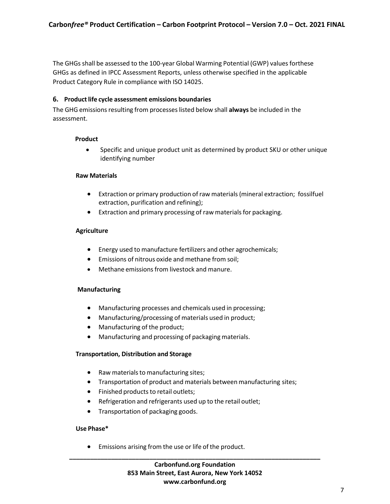The GHGs shall be assessed to the 100-year Global Warming Potential (GWP) values forthese GHGs as defined in IPCC Assessment Reports, unless otherwise specified in the applicable Product Category Rule in compliance with ISO 14025.

#### <span id="page-6-0"></span>**6. Productlife cycle assessment emissions boundaries**

The GHG emissionsresulting from processeslisted below shall **always** be included in the assessment.

#### **Product**

 Specific and unique product unit as determined by product SKU or other unique identifying number

#### **Raw Materials**

- Extraction or primary production ofraw materials(mineral extraction; fossilfuel extraction, purification and refining);
- Extraction and primary processing of raw materials for packaging.

#### **Agriculture**

- Energy used to manufacture fertilizers and other agrochemicals;
- Emissions of nitrous oxide and methane from soil;
- Methane emissions from livestock and manure.

#### **Manufacturing**

- Manufacturing processes and chemicals used in processing;
- Manufacturing/processing of materials used in product;
- Manufacturing of the product;
- Manufacturing and processing of packaging materials.

#### **Transportation, Distribution and Storage**

- Raw materials to manufacturing sites;
- Transportation of product and materials between manufacturing sites;
- Finished products to retail outlets;
- Refrigeration and refrigerants used up to the retail outlet;
- Transportation of packaging goods.

#### **Use Phase\***

Emissions arising from the use or life of the product.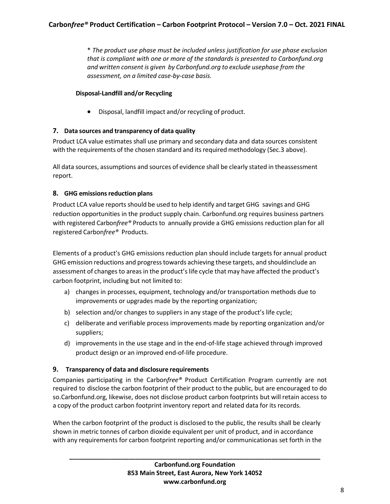\* *The product use phase must be included unless justification for use phase exclusion that is compliant with one or more of the standards is presented to Carbonfund.org and written consent is given by Carbonfund.org to exclude usephase from the assessment, on a limited case-by-case basis.*

## **Disposal-Landfill and/or Recycling**

Disposal, landfill impact and/or recycling of product.

## <span id="page-7-0"></span>**7. Data sources and transparency of data quality**

Product LCA value estimates shall use primary and secondary data and data sources consistent with the requirements of the chosen standard and its required methodology (Sec.3 above).

All data sources, assumptions and sources of evidence shall be clearly stated in theassessment report.

#### <span id="page-7-1"></span>**8. GHG emissionsreduction plans**

Product LCA value reports should be used to help identify and target GHG savings and GHG reduction opportunities in the product supply chain. Carbonfund.org requires business partners with registered Carbon*free®* Products to annually provide a GHG emissions reduction plan for all registered Carbon*free®* Products.

Elements of a product's GHG emissions reduction plan should include targets for annual product GHG emission reductions and progresstowards achieving these targets, and shouldinclude an assessment of changes to areas in the product's life cycle that may have affected the product's carbon footprint, including but not limited to:

- a) changes in processes, equipment, technology and/or transportation methods due to improvements or upgrades made by the reporting organization;
- b) selection and/or changes to suppliers in any stage of the product's life cycle;
- c) deliberate and verifiable process improvements made by reporting organization and/or suppliers;
- d) improvements in the use stage and in the end-of-life stage achieved through improved product design or an improved end-of-life procedure.

## <span id="page-7-2"></span>**9. Transparency of data and disclosure requirements**

Companies participating in the Carbon*free®* Product Certification Program currently are not required to disclose the carbon footprint of their product to the public, but are encouraged to do so.Carbonfund.org, likewise, does not disclose product carbon footprints but will retain access to a copy of the product carbon footprint inventory report and related data for its records.

When the carbon footprint of the product is disclosed to the public, the results shall be clearly shown in metric tonnes of carbon dioxide equivalent per unit of product, and in accordance with any requirements for carbon footprint reporting and/or communicationas set forth in the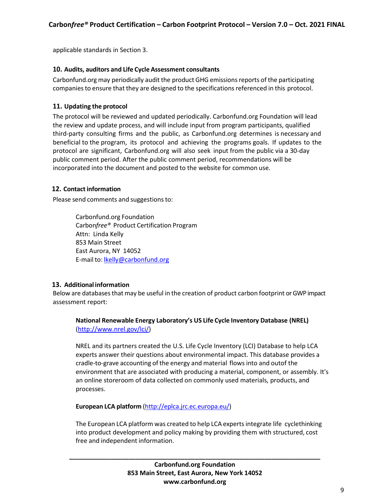applicable standards in Section 3.

## <span id="page-8-0"></span>**10. Audits, auditors and Life Cycle Assessment consultants**

Carbonfund.org may periodically audit the product GHG emissionsreports of the participating companies to ensure that they are designed to the specifications referenced in this protocol.

#### <span id="page-8-1"></span>**11. Updating the protocol**

The protocol will be reviewed and updated periodically. Carbonfund.org Foundation will lead the review and update process, and will include input from program participants, qualified third-party consulting firms and the public, as Carbonfund.org determines is necessary and beneficial to the program, its protocol and achieving the programs goals. If updates to the protocol are significant, Carbonfund.org will also seek input from the public via a 30-day public comment period. After the public comment period, recommendations will be incorporated into the document and posted to the website for common use.

## <span id="page-8-2"></span>**12. Contact information**

Please send comments and suggestions to:

Carbonfund.org Foundation Carbon*free®* Product Certification Program Attn: Linda Kelly 853 Main Street East Aurora, NY 14052 E-mail to: [lkelly@carbonfund.org](about:blank)

#### <span id="page-8-3"></span>**13. Additional information**

Below are databasesthat may be useful in the creation of product carbon footprint or GWP impact assessment report:

## **National Renewable Energy Laboratory's US Life Cycle Inventory Database (NREL)** [\(http://www.nrel.gov/lci/\)](about:blank)

NREL and its partners created the U.S. Life Cycle Inventory (LCI) Database to help LCA experts answer their questions about environmental impact. This database provides a cradle-to-grave accounting of the energy and material flows into and outof the environment that are associated with producing a material, component, or assembly. It's an online storeroom of data collected on commonly used materials, products, and processes.

**European LCA platform** [\(http://eplca.jrc.ec.europa.eu/\)](about:blank)

The European LCA platform was created to help LCA expertsintegrate life cyclethinking into product development and policy making by providing them with structured, cost free and independent information.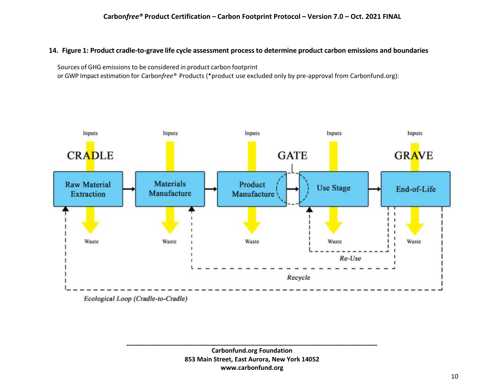## 14. Figure 1: Product cradle-to-grave life cycle assessment process to determine product carbon emissions and boundaries

Sources of GHG emissions to be considered in product carbon footprint

or GWP Impact estimation for Carbon*free®* Products (\*product use excluded only by pre-approval from Carbonfund.org):

<span id="page-9-0"></span>

Ecological Loop (Cradle-to-Cradle)

**Carbonfund.org Foundation 853 Main Street, East Aurora, New York 14052 www.carbonfund.org**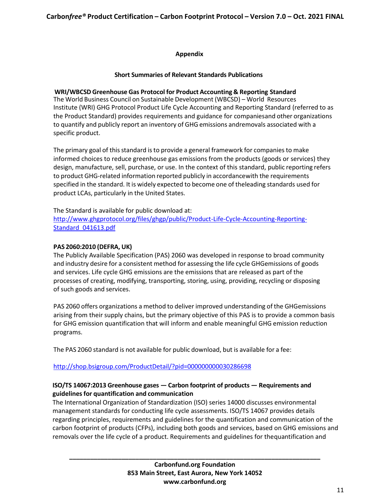#### **Appendix**

#### **Short Summaries of Relevant Standards Publications**

## <span id="page-10-0"></span>**WRI/WBCSD Greenhouse Gas Protocol for Product Accounting & Reporting Standard**

The World Business Council on Sustainable Development (WBCSD) – World Resources Institute (WRI) GHG Protocol Product Life Cycle Accounting and Reporting Standard (referred to as the Product Standard) provides requirements and guidance for companiesand other organizations to quantify and publicly report an inventory of GHG emissions andremovals associated with a specific product.

The primary goal of this standard is to provide a general framework for companies to make informed choices to reduce greenhouse gas emissions from the products (goods or services) they design, manufacture, sell, purchase, or use. In the context of this standard, public reporting refers to product GHG-related information reported publicly in accordancewith the requirements specified in the standard. It is widely expected to become one of theleading standards used for product LCAs, particularly in the United States.

The Standard is available for public download at: [http://www.ghgprotocol.org/files/ghgp/public/Product-Life-Cycle-Accounting-Reporting-](about:blank)[Standard\\_041613.pdf](about:blank)

#### **PAS 2060:2010 (DEFRA, UK)**

The Publicly Available Specification (PAS) 2060 was developed in response to broad community and industry desire for a consistent method for assessing the life cycle GHGemissions of goods and services. Life cycle GHG emissions are the emissions that are released as part of the processes of creating, modifying, transporting, storing, using, providing, recycling or disposing of such goods and services.

PAS 2060 offers organizations a method to deliver improved understanding of the GHGemissions arising from their supply chains, but the primary objective of this PAS is to provide a common basis for GHG emission quantification that will inform and enable meaningful GHG emission reduction programs.

The PAS 2060 standard is not available for public download, but is available for a fee:

## [http://shop.bsigroup.com/ProductDetail/?pid=000000000030286698](about:blank)

## **ISO/TS 14067:2013 Greenhouse gases — Carbon footprint of products — Requirements and guidelines for quantification and communication**

The International Organization of Standardization (ISO) series 14000 discusses environmental management standards for conducting life cycle assessments. ISO/TS 14067 provides details regarding principles, requirements and guidelines for the quantification and communication of the carbon footprint of products (CFPs), including both goods and services, based on GHG emissions and removals over the life cycle of a product. Requirements and guidelines for thequantification and